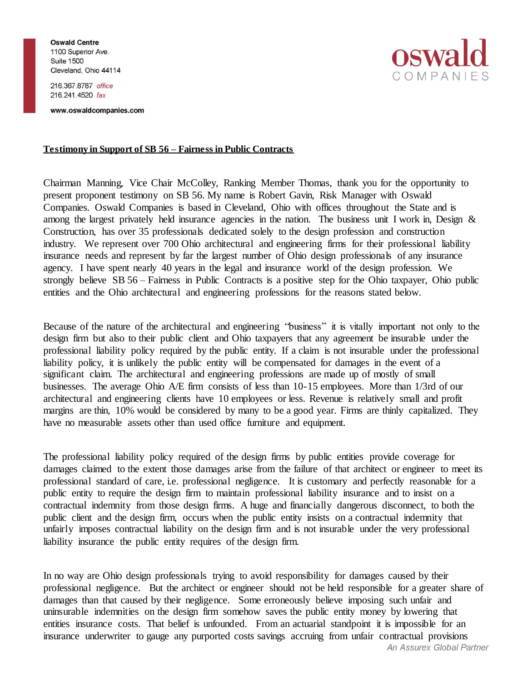**Oswald Centre** 1100 Superior Ave. **Suite 1500** Cleveland, Ohio 44114

216.367.8787 office 216.241.4520 fax

www.oswaldcompanies.com



## **Testimony in Support of SB 56 – Fairness in Public Contracts**

Chairman Manning, Vice Chair McColley, Ranking Member Thomas, thank you for the opportunity to present proponent testimony on SB 56. My name is Robert Gavin, Risk Manager with Oswald Companies. Oswald Companies is based in Cleveland, Ohio with offices throughout the State and is among the largest privately held insurance agencies in the nation. The business unit I work in, Design  $\&$ Construction, has over 35 professionals dedicated solely to the design profession and construction industry. We represent over 700 Ohio architectural and engineering firms for their professional liability insurance needs and represent by far the largest number of Ohio design professionals of any insurance agency. I have spent nearly 40 years in the legal and insurance world of the design profession. We strongly believe SB 56 – Fairness in Public Contracts is a positive step for the Ohio taxpayer, Ohio public entities and the Ohio architectural and engineering professions for the reasons stated below.

Because of the nature of the architectural and engineering "business" it is vitally important not only to the design firm but also to their public client and Ohio taxpayers that any agreement be insurable under the professional liability policy required by the public entity. If a claim is not insurable under the professional liability policy, it is unlikely the public entity will be compensated for damages in the event of a significant claim. The architectural and engineering professions are made up of mostly of small businesses. The average Ohio A/E firm consists of less than 10-15 employees. More than 1/3rd of our architectural and engineering clients have 10 employees or less. Revenue is relatively small and profit margins are thin, 10% would be considered by many to be a good year. Firms are thinly capitalized. They have no measurable assets other than used office furniture and equipment.

The professional liability policy required of the design firms by public entities provide coverage for damages claimed to the extent those damages arise from the failure of that architect or engineer to meet its professional standard of care, i.e. professional negligence. It is customary and perfectly reasonable for a public entity to require the design firm to maintain professional liability insurance and to insist on a contractual indemnity from those design firms. A huge and financially dangerous disconnect, to both the public client and the design firm, occurs when the public entity insists on a contractual indemnity that unfairly imposes contractual liability on the design firm and is not insurable under the very professional liability insurance the public entity requires of the design firm.

In no way are Ohio design professionals trying to avoid responsibility for damages caused by their professional negligence. But the architect or engineer should not be held responsible for a greater share of damages than that caused by their negligence. Some erroneously believe imposing such unfair and uninsurable indemnities on the design firm somehow saves the public entity money by lowering that entities insurance costs. That belief is unfounded. From an actuarial standpoint it is impossible for an insurance underwriter to gauge any purported costs savings accruing from unfair contractual provisions